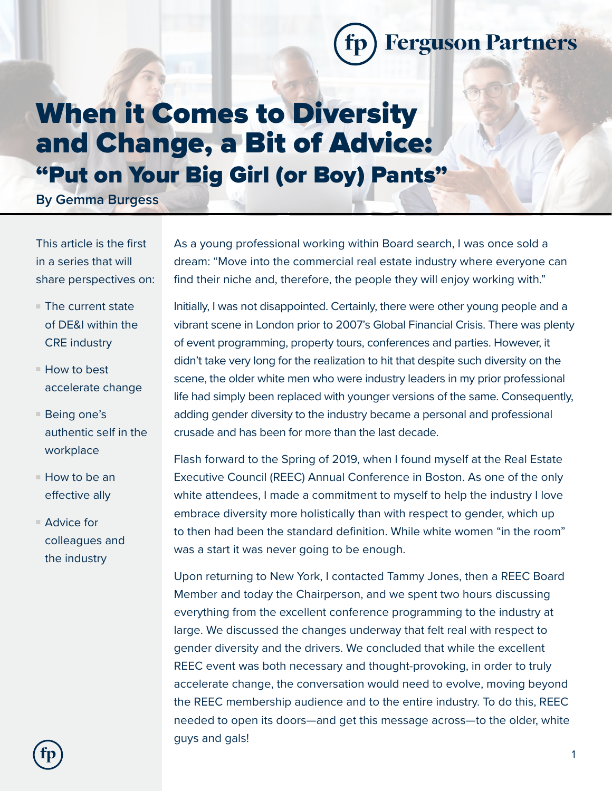## **Ferguson Partners**

## When it Comes to Diversity and Change, a Bit of Advice: "Put on Your Big Girl (or Boy) Pants"

**By Gemma Burgess**

This article is the first in a series that will share perspectives on:

- $\blacksquare$  The current state of DE&I within the CRE industry
- $\blacksquare$  How to best accelerate change
- Being one's authentic self in the workplace
- $\blacksquare$  How to be an effective ally
- $A$  Advice for colleagues and the industry

As a young professional working within Board search, I was once sold a dream: "Move into the commercial real estate industry where everyone can find their niche and, therefore, the people they will enjoy working with."

Initially, I was not disappointed. Certainly, there were other young people and a vibrant scene in London prior to 2007's Global Financial Crisis. There was plenty of event programming, property tours, conferences and parties. However, it didn't take very long for the realization to hit that despite such diversity on the scene, the older white men who were industry leaders in my prior professional life had simply been replaced with younger versions of the same. Consequently, adding gender diversity to the industry became a personal and professional crusade and has been for more than the last decade.

Flash forward to the Spring of 2019, when I found myself at the Real Estate Executive Council (REEC) Annual Conference in Boston. As one of the only white attendees, I made a commitment to myself to help the industry I love embrace diversity more holistically than with respect to gender, which up to then had been the standard definition. While white women "in the room" was a start it was never going to be enough.

Upon returning to New York, I contacted Tammy Jones, then a REEC Board Member and today the Chairperson, and we spent two hours discussing everything from the excellent conference programming to the industry at large. We discussed the changes underway that felt real with respect to gender diversity and the drivers. We concluded that while the excellent REEC event was both necessary and thought-provoking, in order to truly accelerate change, the conversation would need to evolve, moving beyond the REEC membership audience and to the entire industry. To do this, REEC needed to open its doors—and get this message across—to the older, white guys and gals!